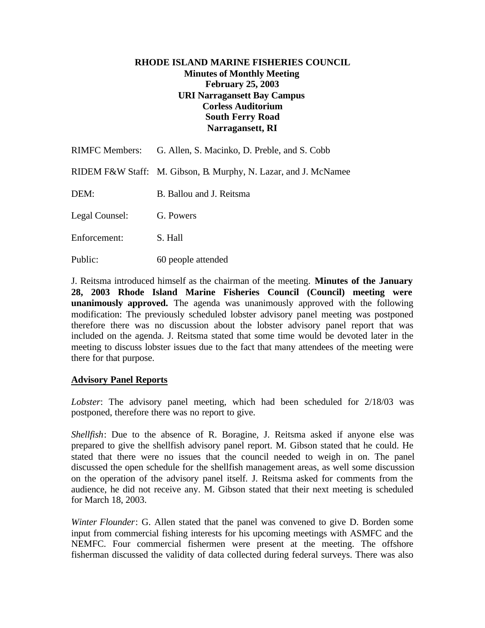# **RHODE ISLAND MARINE FISHERIES COUNCIL Minutes of Monthly Meeting February 25, 2003 URI Narragansett Bay Campus Corless Auditorium South Ferry Road Narragansett, RI**

|                | RIMFC Members: G. Allen, S. Macinko, D. Preble, and S. Cobb     |
|----------------|-----------------------------------------------------------------|
|                | RIDEM F&W Staff: M. Gibson, B. Murphy, N. Lazar, and J. McNamee |
| DEM:           | B. Ballou and J. Reitsma                                        |
| Legal Counsel: | G. Powers                                                       |
| Enforcement:   | S. Hall                                                         |
|                |                                                                 |

J. Reitsma introduced himself as the chairman of the meeting. **Minutes of the January 28, 2003 Rhode Island Marine Fisheries Council (Council) meeting were unanimously approved.** The agenda was unanimously approved with the following modification: The previously scheduled lobster advisory panel meeting was postponed therefore there was no discussion about the lobster advisory panel report that was included on the agenda. J. Reitsma stated that some time would be devoted later in the meeting to discuss lobster issues due to the fact that many attendees of the meeting were there for that purpose.

### **Advisory Panel Reports**

Public: 60 people attended

*Lobster*: The advisory panel meeting, which had been scheduled for 2/18/03 was postponed, therefore there was no report to give.

*Shellfish*: Due to the absence of R. Boragine, J. Reitsma asked if anyone else was prepared to give the shellfish advisory panel report. M. Gibson stated that he could. He stated that there were no issues that the council needed to weigh in on. The panel discussed the open schedule for the shellfish management areas, as well some discussion on the operation of the advisory panel itself. J. Reitsma asked for comments from the audience, he did not receive any. M. Gibson stated that their next meeting is scheduled for March 18, 2003.

*Winter Flounder*: G. Allen stated that the panel was convened to give D. Borden some input from commercial fishing interests for his upcoming meetings with ASMFC and the NEMFC. Four commercial fishermen were present at the meeting. The offshore fisherman discussed the validity of data collected during federal surveys. There was also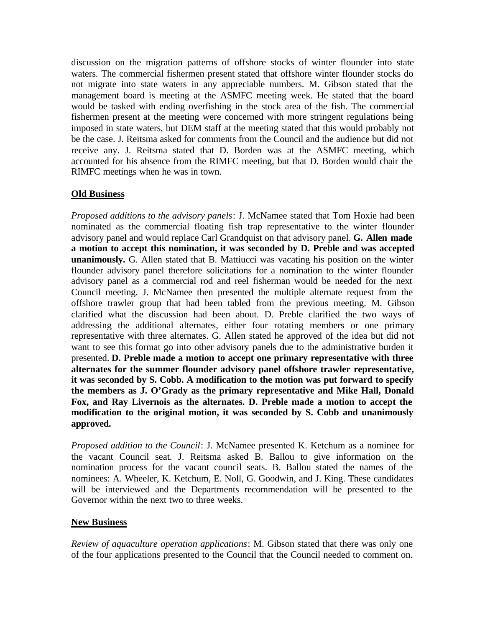discussion on the migration patterns of offshore stocks of winter flounder into state waters. The commercial fishermen present stated that offshore winter flounder stocks do not migrate into state waters in any appreciable numbers. M. Gibson stated that the management board is meeting at the ASMFC meeting week. He stated that the board would be tasked with ending overfishing in the stock area of the fish. The commercial fishermen present at the meeting were concerned with more stringent regulations being imposed in state waters, but DEM staff at the meeting stated that this would probably not be the case. J. Reitsma asked for comments from the Council and the audience but did not receive any. J. Reitsma stated that D. Borden was at the ASMFC meeting, which accounted for his absence from the RIMFC meeting, but that D. Borden would chair the RIMFC meetings when he was in town.

# **Old Business**

*Proposed additions to the advisory panels*: J. McNamee stated that Tom Hoxie had been nominated as the commercial floating fish trap representative to the winter flounder advisory panel and would replace Carl Grandquist on that advisory panel. **G. Allen made a motion to accept this nomination, it was seconded by D. Preble and was accepted unanimously.** G. Allen stated that B. Mattiucci was vacating his position on the winter flounder advisory panel therefore solicitations for a nomination to the winter flounder advisory panel as a commercial rod and reel fisherman would be needed for the next Council meeting. J. McNamee then presented the multiple alternate request from the offshore trawler group that had been tabled from the previous meeting. M. Gibson clarified what the discussion had been about. D. Preble clarified the two ways of addressing the additional alternates, either four rotating members or one primary representative with three alternates. G. Allen stated he approved of the idea but did not want to see this format go into other advisory panels due to the administrative burden it presented. **D. Preble made a motion to accept one primary representative with three alternates for the summer flounder advisory panel offshore trawler representative, it was seconded by S. Cobb. A modification to the motion was put forward to specify the members as J. O'Grady as the primary representative and Mike Hall, Donald Fox, and Ray Livernois as the alternates. D. Preble made a motion to accept the modification to the original motion, it was seconded by S. Cobb and unanimously approved.**

*Proposed addition to the Council*: J. McNamee presented K. Ketchum as a nominee for the vacant Council seat. J. Reitsma asked B. Ballou to give information on the nomination process for the vacant council seats. B. Ballou stated the names of the nominees: A. Wheeler, K. Ketchum, E. Noll, G. Goodwin, and J. King. These candidates will be interviewed and the Departments recommendation will be presented to the Governor within the next two to three weeks.

### **New Business**

*Review of aquaculture operation applications*: M. Gibson stated that there was only one of the four applications presented to the Council that the Council needed to comment on.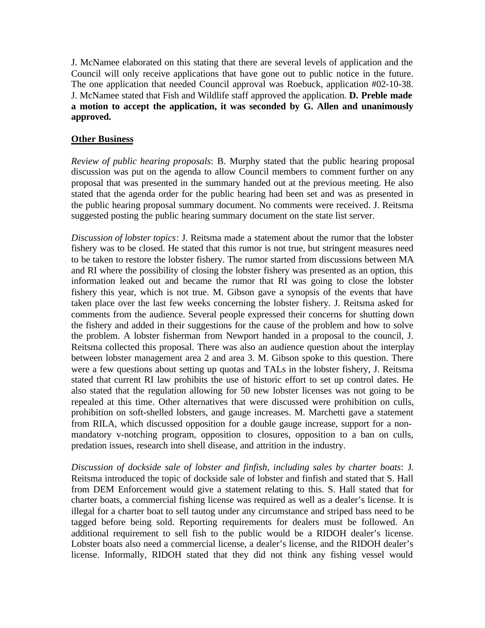J. McNamee elaborated on this stating that there are several levels of application and the Council will only receive applications that have gone out to public notice in the future. The one application that needed Council approval was Roebuck, application #02-10-38. J. McNamee stated that Fish and Wildlife staff approved the application. **D. Preble made a motion to accept the application, it was seconded by G. Allen and unanimously approved.**

# **Other Business**

*Review of public hearing proposals*: B. Murphy stated that the public hearing proposal discussion was put on the agenda to allow Council members to comment further on any proposal that was presented in the summary handed out at the previous meeting. He also stated that the agenda order for the public hearing had been set and was as presented in the public hearing proposal summary document. No comments were received. J. Reitsma suggested posting the public hearing summary document on the state list server.

*Discussion of lobster topics*: J. Reitsma made a statement about the rumor that the lobster fishery was to be closed. He stated that this rumor is not true, but stringent measures need to be taken to restore the lobster fishery. The rumor started from discussions between MA and RI where the possibility of closing the lobster fishery was presented as an option, this information leaked out and became the rumor that RI was going to close the lobster fishery this year, which is not true. M. Gibson gave a synopsis of the events that have taken place over the last few weeks concerning the lobster fishery. J. Reitsma asked for comments from the audience. Several people expressed their concerns for shutting down the fishery and added in their suggestions for the cause of the problem and how to solve the problem. A lobster fisherman from Newport handed in a proposal to the council, J. Reitsma collected this proposal. There was also an audience question about the interplay between lobster management area 2 and area 3. M. Gibson spoke to this question. There were a few questions about setting up quotas and TALs in the lobster fishery, J. Reitsma stated that current RI law prohibits the use of historic effort to set up control dates. He also stated that the regulation allowing for 50 new lobster licenses was not going to be repealed at this time. Other alternatives that were discussed were prohibition on culls, prohibition on soft-shelled lobsters, and gauge increases. M. Marchetti gave a statement from RILA, which discussed opposition for a double gauge increase, support for a nonmandatory v-notching program, opposition to closures, opposition to a ban on culls, predation issues, research into shell disease, and attrition in the industry.

*Discussion of dockside sale of lobster and finfish, including sales by charter boats*: J. Reitsma introduced the topic of dockside sale of lobster and finfish and stated that S. Hall from DEM Enforcement would give a statement relating to this. S. Hall stated that for charter boats, a commercial fishing license was required as well as a dealer's license. It is illegal for a charter boat to sell tautog under any circumstance and striped bass need to be tagged before being sold. Reporting requirements for dealers must be followed. An additional requirement to sell fish to the public would be a RIDOH dealer's license. Lobster boats also need a commercial license, a dealer's license, and the RIDOH dealer's license. Informally, RIDOH stated that they did not think any fishing vessel would